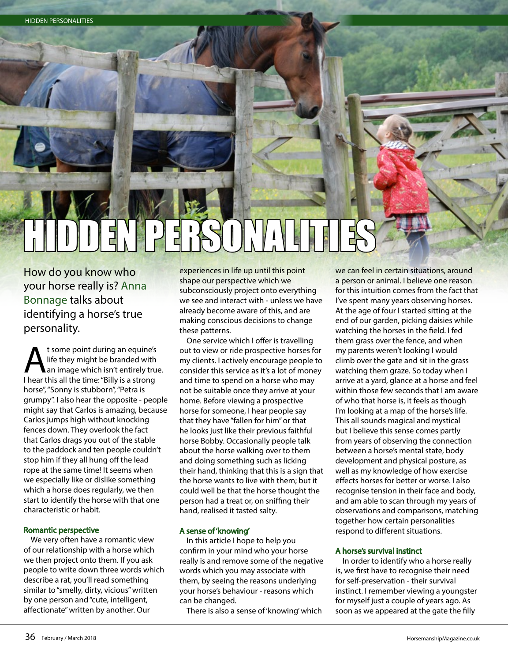# HIDDEN PERSONALITIES

How do you know who your horse really is? Anna Bonnage talks about identifying a horse's true personality.

t some point during an equine's<br>life they might be branded with<br>thear this all the time: "Billy is a strong" life they might be branded with I hear this all the time: "Billy is a strong horse", "Sonny is stubborn", "Petra is grumpy". I also hear the opposite - people might say that Carlos is amazing, because Carlos jumps high without knocking fences down. They overlook the fact that Carlos drags you out of the stable to the paddock and ten people couldn't stop him if they all hung off the lead rope at the same time! It seems when we especially like or dislike something which a horse does regularly, we then start to identify the horse with that one characteristic or habit.

# Romantic perspective

We very often have a romantic view of our relationship with a horse which we then project onto them. If you ask people to write down three words which describe a rat, you'll read something similar to "smelly, dirty, vicious" written by one person and "cute, intelligent, affectionate" written by another. Our

experiences in life up until this point shape our perspective which we subconsciously project onto everything we see and interact with - unless we have already become aware of this, and are making conscious decisions to change these patterns.

One service which I offer is travelling out to view or ride prospective horses for my clients. I actively encourage people to consider this service as it's a lot of money and time to spend on a horse who may not be suitable once they arrive at your home. Before viewing a prospective horse for someone, I hear people say that they have "fallen for him" or that he looks just like their previous faithful horse Bobby. Occasionally people talk about the horse walking over to them and doing something such as licking their hand, thinking that this is a sign that the horse wants to live with them; but it could well be that the horse thought the person had a treat or, on sniffing their hand, realised it tasted salty.

# A sense of 'knowing'

In this article I hope to help you confirm in your mind who your horse really is and remove some of the negative words which you may associate with them, by seeing the reasons underlying your horse's behaviour - reasons which can be changed.

There is also a sense of 'knowing' which

we can feel in certain situations, around a person or animal. I believe one reason for this intuition comes from the fact that I've spent many years observing horses. At the age of four I started sitting at the end of our garden, picking daisies while watching the horses in the field. I fed them grass over the fence, and when my parents weren't looking I would climb over the gate and sit in the grass watching them graze. So today when I arrive at a yard, glance at a horse and feel within those few seconds that I am aware of who that horse is, it feels as though I'm looking at a map of the horse's life. This all sounds magical and mystical but I believe this sense comes partly from years of observing the connection between a horse's mental state, body development and physical posture, as well as my knowledge of how exercise effects horses for better or worse. I also recognise tension in their face and body, and am able to scan through my years of observations and comparisons, matching together how certain personalities respond to different situations.

## A horse's survival instinct

In order to identify who a horse really is, we first have to recognise their need for self-preservation - their survival instinct. I remember viewing a youngster for myself just a couple of years ago. As soon as we appeared at the gate the filly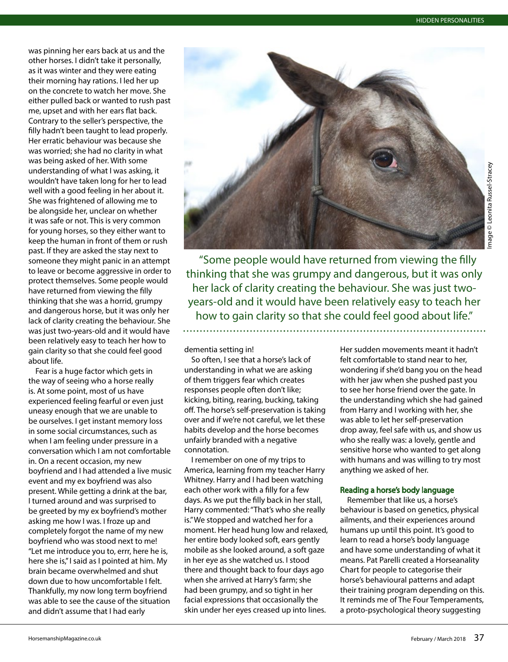Image © Leonita Russel-Stracey© Leonita Russel-Stracey

nage

was pinning her ears back at us and the other horses. I didn't take it personally, as it was winter and they were eating their morning hay rations. I led her up on the concrete to watch her move. She either pulled back or wanted to rush past me, upset and with her ears flat back. Contrary to the seller's perspective, the filly hadn't been taught to lead properly. Her erratic behaviour was because she was worried; she had no clarity in what was being asked of her. With some understanding of what I was asking, it wouldn't have taken long for her to lead well with a good feeling in her about it. She was frightened of allowing me to be alongside her, unclear on whether it was safe or not. This is very common for young horses, so they either want to keep the human in front of them or rush past. If they are asked the stay next to someone they might panic in an attempt to leave or become aggressive in order to protect themselves. Some people would have returned from viewing the filly thinking that she was a horrid, grumpy and dangerous horse, but it was only her lack of clarity creating the behaviour. She was just two-years-old and it would have been relatively easy to teach her how to gain clarity so that she could feel good about life.

Fear is a huge factor which gets in the way of seeing who a horse really is. At some point, most of us have experienced feeling fearful or even just uneasy enough that we are unable to be ourselves. I get instant memory loss in some social circumstances, such as when I am feeling under pressure in a conversation which I am not comfortable in. On a recent occasion, my new boyfriend and I had attended a live music event and my ex boyfriend was also present. While getting a drink at the bar, I turned around and was surprised to be greeted by my ex boyfriend's mother asking me how I was. I froze up and completely forgot the name of my new boyfriend who was stood next to me! "Let me introduce you to, errr, here he is, here she is," I said as I pointed at him. My brain became overwhelmed and shut down due to how uncomfortable I felt. Thankfully, my now long term boyfriend was able to see the cause of the situation and didn't assume that I had early



"Some people would have returned from viewing the filly thinking that she was grumpy and dangerous, but it was only her lack of clarity creating the behaviour. She was just twoyears-old and it would have been relatively easy to teach her how to gain clarity so that she could feel good about life."

dementia setting in!

So often, I see that a horse's lack of understanding in what we are asking of them triggers fear which creates responses people often don't like; kicking, biting, rearing, bucking, taking off. The horse's self-preservation is taking over and if we're not careful, we let these habits develop and the horse becomes unfairly branded with a negative connotation.

I remember on one of my trips to America, learning from my teacher Harry Whitney. Harry and I had been watching each other work with a filly for a few days. As we put the filly back in her stall, Harry commented: "That's who she really is." We stopped and watched her for a moment. Her head hung low and relaxed, her entire body looked soft, ears gently mobile as she looked around, a soft gaze in her eye as she watched us. I stood there and thought back to four days ago when she arrived at Harry's farm; she had been grumpy, and so tight in her facial expressions that occasionally the skin under her eyes creased up into lines.

Her sudden movements meant it hadn't felt comfortable to stand near to her, wondering if she'd bang you on the head with her jaw when she pushed past you to see her horse friend over the gate. In the understanding which she had gained from Harry and I working with her, she was able to let her self-preservation drop away, feel safe with us, and show us who she really was: a lovely, gentle and sensitive horse who wanted to get along with humans and was willing to try most anything we asked of her.

## Reading a horse's body language

Remember that like us, a horse's behaviour is based on genetics, physical ailments, and their experiences around humans up until this point. It's good to learn to read a horse's body language and have some understanding of what it means. Pat Parelli created a Horseanality Chart for people to categorise their horse's behavioural patterns and adapt their training program depending on this. It reminds me of The Four Temperaments, a proto-psychological theory suggesting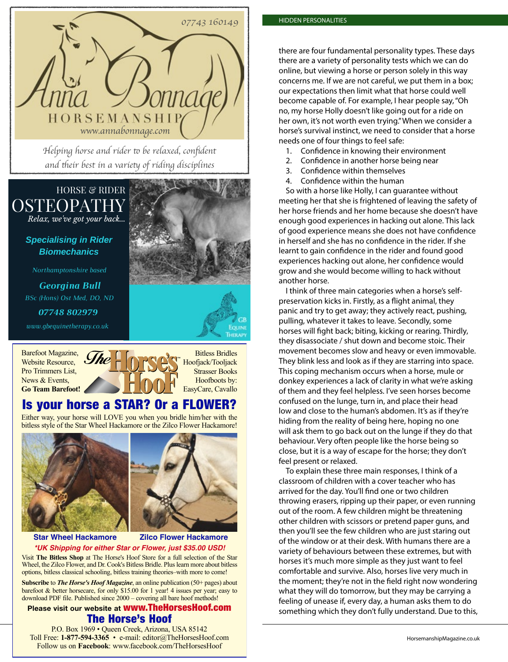

*Helping horse and rider* to *be relaxed, con*fi*dent and* th*eir best in a varie*ty *of riding disciplines*

# HORSE & RIDER *Relax, we've got your back...* **OSTEOPATHY**

*Specialising in Rider Biomechanics*

*Northamptonshire based*

*Georgina Bull BSc (Hons) Ost Med, DO, ND*

*07748 802979*

*www.gbequinetherapy.co.uk*

Barefoot Magazine, Website Resource, Pro Trimmers List, News & Events. **Go Team Barefoot!**



ª



Bitless Bridles Hoofjack/Tooljack Strasser Books Hoofboots by: EasyCare, Cavallo

# Is your horse a STAR? Or a FLOWER?

Either way, your horse will LOVE you when you bridle him/her with the bitless style of the Star Wheel Hackamore or the Zilco Flower Hackamore!



# **Star Wheel Hackamore Zilco Flower Hackamore \*UK Shipping for either Star or Flower, just \$35.00 USD!**

Visit **The Bitless Shop** at The Horse's Hoof Store for a full selection of the Star Wheel, the Zilco Flower, and Dr. Cook's Bitless Bridle. Plus learn more about bitless options, bitless classical schooling, bitless training theories–with more to come!

**Subscribe** to *The Horse's Hoof Magazine*, an online publication (50+ pages) about barefoot & better horsecare, for only \$15.00 for 1 year! 4 issues per year; easy to download PDF file. Published since 2000 – covering all bare hoof methods!

# **Please visit our website at** www.TheHorsesHoof.com The Horse's Hoof

Toll Free: 1-877-594-3365 • e-mail: editor@TheHorsesHoof.com and all and a state of the March 2018 and Magazine.co.uk P.O. Box 1969 • Queen Creek, Arizona, USA 85142 Follow us on **Facebook**: www.facebook.com/TheHorsesHoof

there are four fundamental personality types. These days there are a variety of personality tests which we can do online, but viewing a horse or person solely in this way concerns me. If we are not careful, we put them in a box; our expectations then limit what that horse could well become capable of. For example, I hear people say, "Oh no, my horse Holly doesn't like going out for a ride on her own, it's not worth even trying." When we consider a horse's survival instinct, we need to consider that a horse needs one of four things to feel safe:

- 1. Confidence in knowing their environment
- 2. Confidence in another horse being near
- 3. Confidence within themselves
- 4. Confidence within the human

So with a horse like Holly, I can guarantee without meeting her that she is frightened of leaving the safety of her horse friends and her home because she doesn't have enough good experiences in hacking out alone. This lack of good experience means she does not have confidence in herself and she has no confidence in the rider. If she learnt to gain confidence in the rider and found good experiences hacking out alone, her confidence would grow and she would become willing to hack without another horse.

I think of three main categories when a horse's selfpreservation kicks in. Firstly, as a flight animal, they panic and try to get away; they actively react, pushing, pulling, whatever it takes to leave. Secondly, some horses will fight back; biting, kicking or rearing. Thirdly, they disassociate / shut down and become stoic. Their movement becomes slow and heavy or even immovable. They blink less and look as if they are starring into space. This coping mechanism occurs when a horse, mule or donkey experiences a lack of clarity in what we're asking of them and they feel helpless. I've seen horses become confused on the lunge, turn in, and place their head low and close to the human's abdomen. It's as if they're hiding from the reality of being here, hoping no one will ask them to go back out on the lunge if they do that behaviour. Very often people like the horse being so close, but it is a way of escape for the horse; they don't feel present or relaxed.

To explain these three main responses, I think of a classroom of children with a cover teacher who has arrived for the day. You'll find one or two children throwing erasers, ripping up their paper, or even running out of the room. A few children might be threatening other children with scissors or pretend paper guns, and then you'll see the few children who are just staring out of the window or at their desk. With humans there are a variety of behaviours between these extremes, but with horses it's much more simple as they just want to feel comfortable and survive. Also, horses live very much in the moment; they're not in the field right now wondering what they will do tomorrow, but they may be carrying a feeling of unease if, every day, a human asks them to do something which they don't fully understand. Due to this,